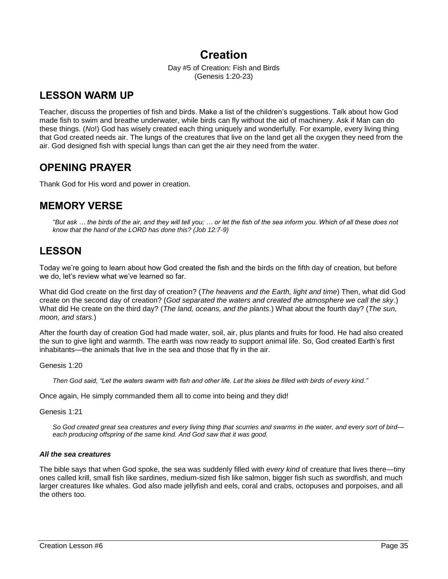# **Creation**

Day #5 of Creation: Fish and Birds (Genesis 1:20-23)

# **LESSON WARM UP**

Teacher, discuss the properties of fish and birds. Make a list of the children's suggestions. Talk about how God made fish to swim and breathe underwater, while birds can fly without the aid of machinery. Ask if Man can do these things. (*No*!) God has wisely created each thing uniquely and wonderfully. For example, every living thing that God created needs air. The lungs of the creatures that live on the land get all the oxygen they need from the air. God designed fish with special lungs than can get the air they need from the water.

# **OPENING PRAYER**

Thank God for His word and power in creation.

# **MEMORY VERSE**

*"But ask … the birds of the air, and they will tell you; … or let the fish of the sea inform you. Which of all these does not know that the hand of the LORD has done this? (Job 12:7-9)*

## **LESSON**

Today we're going to learn about how God created the fish and the birds on the fifth day of creation, but before we do, let's review what we've learned so far.

What did God create on the first day of creation? (*The heavens and the Earth, light and time*) Then, what did God create on the second day of creation? (*God separated the waters and created the atmosphere we call the sky*.) What did He create on the third day? (*The land, oceans, and the plants*.) What about the fourth day? (*The sun, moon, and stars*.)

After the fourth day of creation God had made water, soil, air, plus plants and fruits for food. He had also created the sun to give light and warmth. The earth was now ready to support animal life. So, God created Earth's first inhabitants—the animals that live in the sea and those that fly in the air.

Genesis 1:20

*Then God said, "Let the waters swarm with fish and other life. Let the skies be filled with birds of every kind."*

Once again, He simply commanded them all to come into being and they did!

Genesis 1:21

*So God created great sea creatures and every living thing that scurries and swarms in the water, and every sort of bird each producing offspring of the same kind. And God saw that it was good.*

## *All the sea creatures*

The bible says that when God spoke, the sea was suddenly filled with *every kind* of creature that lives there—tiny ones called krill, small fish like sardines, medium-sized fish like salmon, bigger fish such as swordfish, and much larger creatures like whales. God also made jellyfish and eels, coral and crabs, octopuses and porpoises, and all the others too.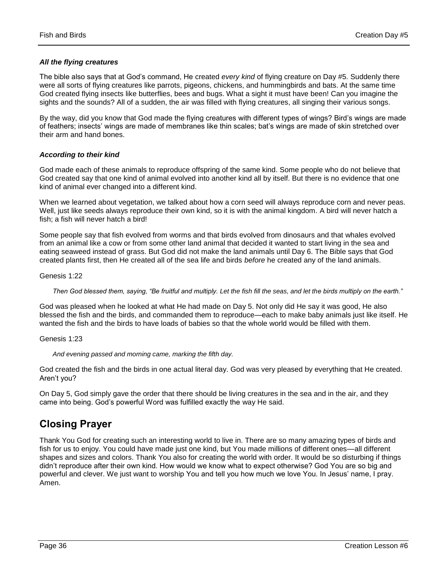## *All the flying creatures*

The bible also says that at God's command, He created *every kind* of flying creature on Day #5. Suddenly there were all sorts of flying creatures like parrots, pigeons, chickens, and hummingbirds and bats. At the same time God created flying insects like butterflies, bees and bugs. What a sight it must have been! Can you imagine the sights and the sounds? All of a sudden, the air was filled with flying creatures, all singing their various songs.

By the way, did you know that God made the flying creatures with different types of wings? Bird's wings are made of feathers; insects' wings are made of membranes like thin scales; bat's wings are made of skin stretched over their arm and hand bones.

### *According to their kind*

God made each of these animals to reproduce offspring of the same kind. Some people who do not believe that God created say that one kind of animal evolved into another kind all by itself. But there is no evidence that one kind of animal ever changed into a different kind.

When we learned about vegetation, we talked about how a corn seed will always reproduce corn and never peas. Well, just like seeds always reproduce their own kind, so it is with the animal kingdom. A bird will never hatch a fish; a fish will never hatch a bird!

Some people say that fish evolved from worms and that birds evolved from dinosaurs and that whales evolved from an animal like a cow or from some other land animal that decided it wanted to start living in the sea and eating seaweed instead of grass. But God did not make the land animals until Day 6. The Bible says that God created plants first, then He created all of the sea life and birds *before* he created any of the land animals.

Genesis 1:22

*Then God blessed them, saying, "Be fruitful and multiply. Let the fish fill the seas, and let the birds multiply on the earth."*

God was pleased when he looked at what He had made on Day 5. Not only did He say it was good, He also blessed the fish and the birds, and commanded them to reproduce—each to make baby animals just like itself. He wanted the fish and the birds to have loads of babies so that the whole world would be filled with them.

Genesis 1:23

*And evening passed and morning came, marking the fifth day.*

God created the fish and the birds in one actual literal day. God was very pleased by everything that He created. Aren't you?

On Day 5, God simply gave the order that there should be living creatures in the sea and in the air, and they came into being. God's powerful Word was fulfilled exactly the way He said.

## **Closing Prayer**

Thank You God for creating such an interesting world to live in. There are so many amazing types of birds and fish for us to enjoy. You could have made just one kind, but You made millions of different ones—all different shapes and sizes and colors. Thank You also for creating the world with order. It would be so disturbing if things didn't reproduce after their own kind. How would we know what to expect otherwise? God You are so big and powerful and clever. We just want to worship You and tell you how much we love You. In Jesus' name, I pray. Amen.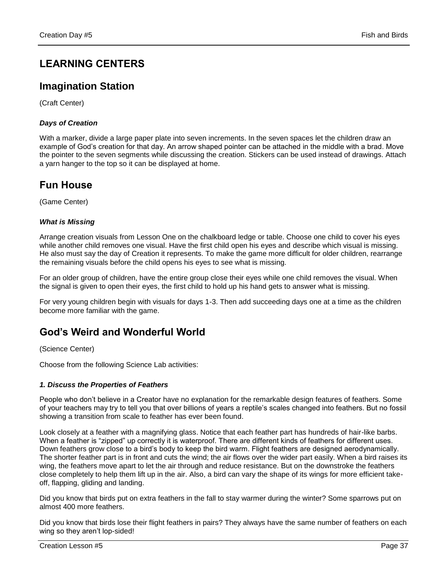# **LEARNING CENTERS**

## **Imagination Station**

(Craft Center)

## *Days of Creation*

With a marker, divide a large paper plate into seven increments. In the seven spaces let the children draw an example of God's creation for that day. An arrow shaped pointer can be attached in the middle with a brad. Move the pointer to the seven segments while discussing the creation. Stickers can be used instead of drawings. Attach a yarn hanger to the top so it can be displayed at home.

# **Fun House**

(Game Center)

## *What is Missing*

Arrange creation visuals from Lesson One on the chalkboard ledge or table. Choose one child to cover his eyes while another child removes one visual. Have the first child open his eyes and describe which visual is missing. He also must say the day of Creation it represents. To make the game more difficult for older children, rearrange the remaining visuals before the child opens his eyes to see what is missing.

For an older group of children, have the entire group close their eyes while one child removes the visual. When the signal is given to open their eyes, the first child to hold up his hand gets to answer what is missing.

For very young children begin with visuals for days 1-3. Then add succeeding days one at a time as the children become more familiar with the game.

# **God's Weird and Wonderful World**

(Science Center)

Choose from the following Science Lab activities:

## *1. Discuss the Properties of Feathers*

People who don't believe in a Creator have no explanation for the remarkable design features of feathers. Some of your teachers may try to tell you that over billions of years a reptile's scales changed into feathers. But no fossil showing a transition from scale to feather has ever been found.

Look closely at a feather with a magnifying glass. Notice that each feather part has hundreds of hair-like barbs. When a feather is "zipped" up correctly it is waterproof. There are different kinds of feathers for different uses. Down feathers grow close to a bird's body to keep the bird warm. Flight feathers are designed aerodynamically. The shorter feather part is in front and cuts the wind; the air flows over the wider part easily. When a bird raises its wing, the feathers move apart to let the air through and reduce resistance. But on the downstroke the feathers close completely to help them lift up in the air. Also, a bird can vary the shape of its wings for more efficient takeoff, flapping, gliding and landing.

Did you know that birds put on extra feathers in the fall to stay warmer during the winter? Some sparrows put on almost 400 more feathers.

Did you know that birds lose their flight feathers in pairs? They always have the same number of feathers on each wing so they aren't lop-sided!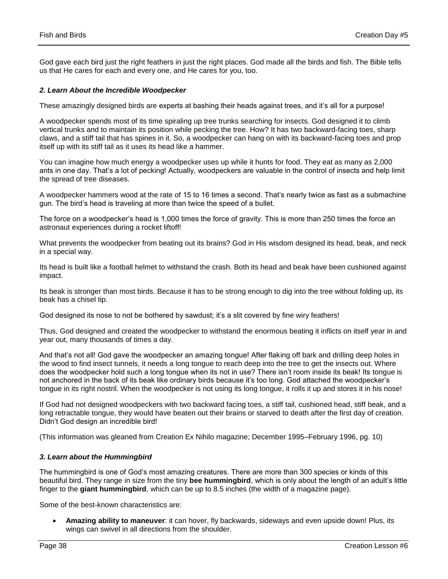God gave each bird just the right feathers in just the right places. God made all the birds and fish. The Bible tells us that He cares for each and every one, and He cares for you, too.

### *2. Learn About the Incredible Woodpecker*

These amazingly designed birds are experts at bashing their heads against trees, and it's all for a purpose!

A woodpecker spends most of its time spiraling up tree trunks searching for insects. God designed it to climb vertical trunks and to maintain its position while pecking the tree. How? It has two backward-facing toes, sharp claws, and a stiff tail that has spines in it. So, a woodpecker can hang on with its backward-facing toes and prop itself up with its stiff tail as it uses its head like a hammer.

You can imagine how much energy a woodpecker uses up while it hunts for food. They eat as many as 2,000 ants in one day. That's a lot of pecking! Actually, woodpeckers are valuable in the control of insects and help limit the spread of tree diseases.

A woodpecker hammers wood at the rate of 15 to 16 times a second. That's nearly twice as fast as a submachine gun. The bird's head is traveling at more than twice the speed of a bullet.

The force on a woodpecker's head is 1,000 times the force of gravity. This is more than 250 times the force an astronaut experiences during a rocket liftoff!

What prevents the woodpecker from beating out its brains? God in His wisdom designed its head, beak, and neck in a special way.

Its head is built like a football helmet to withstand the crash. Both its head and beak have been cushioned against impact.

Its beak is stronger than most birds. Because it has to be strong enough to dig into the tree without folding up, its beak has a chisel tip.

God designed its nose to not be bothered by sawdust; it's a slit covered by fine wiry feathers!

Thus, God designed and created the woodpecker to withstand the enormous beating it inflicts on itself year in and year out, many thousands of times a day.

And that's not all! God gave the woodpecker an amazing tongue! After flaking off bark and drilling deep holes in the wood to find insect tunnels, it needs a long tongue to reach deep into the tree to get the insects out. Where does the woodpecker hold such a long tongue when its not in use? There isn't room inside its beak! Its tongue is not anchored in the back of its beak like ordinary birds because it's too long. God attached the woodpecker's tongue in its right nostril. When the woodpecker is not using its long tongue, it rolls it up and stores it in his nose!

If God had not designed woodpeckers with two backward facing toes, a stiff tail, cushioned head, stiff beak, and a long retractable tongue, they would have beaten out their brains or starved to death after the first day of creation. Didn't God design an incredible bird!

(This information was gleaned from Creation Ex Nihilo magazine; December 1995–February 1996, pg. 10)

#### *3. Learn about the Hummingbird*

The hummingbird is one of God's most amazing creatures. There are more than 300 species or kinds of this beautiful bird. They range in size from the tiny **bee hummingbird**, which is only about the length of an adult's little finger to the **giant hummingbird**, which can be up to 8.5 inches (the width of a magazine page).

Some of the best-known characteristics are:

 **Amazing ability to maneuver**: it can hover, fly backwards, sideways and even upside down! Plus, its wings can swivel in all directions from the shoulder.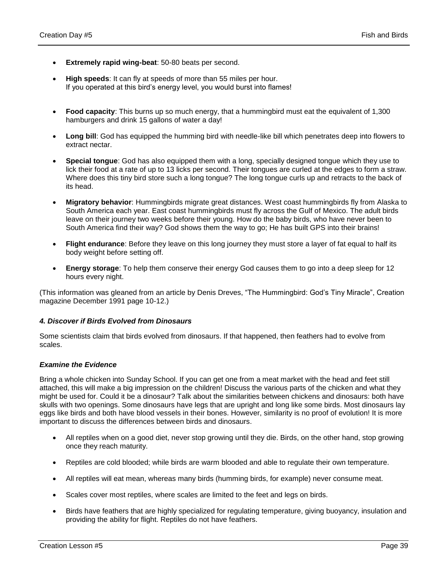- **Extremely rapid wing-beat**: 50-80 beats per second.
- **High speeds**: It can fly at speeds of more than 55 miles per hour. If you operated at this bird's energy level, you would burst into flames!
- **Food capacity**: This burns up so much energy, that a hummingbird must eat the equivalent of 1,300 hamburgers and drink 15 gallons of water a day!
- **Long bill**: God has equipped the humming bird with needle-like bill which penetrates deep into flowers to extract nectar.
- **Special tongue**: God has also equipped them with a long, specially designed tongue which they use to lick their food at a rate of up to 13 licks per second. Their tongues are curled at the edges to form a straw. Where does this tiny bird store such a long tongue? The long tongue curls up and retracts to the back of its head.
- **Migratory behavior**: Hummingbirds migrate great distances. West coast hummingbirds fly from Alaska to South America each year. East coast hummingbirds must fly across the Gulf of Mexico. The adult birds leave on their journey two weeks before their young. How do the baby birds, who have never been to South America find their way? God shows them the way to go; He has built GPS into their brains!
- **Flight endurance**: Before they leave on this long journey they must store a layer of fat equal to half its body weight before setting off.
- **Energy storage**: To help them conserve their energy God causes them to go into a deep sleep for 12 hours every night.

(This information was gleaned from an article by Denis Dreves, "The Hummingbird: God's Tiny Miracle", Creation magazine December 1991 page 10-12.)

## *4. Discover if Birds Evolved from Dinosaurs*

Some scientists claim that birds evolved from dinosaurs. If that happened, then feathers had to evolve from scales.

## *Examine the Evidence*

Bring a whole chicken into Sunday School. If you can get one from a meat market with the head and feet still attached, this will make a big impression on the children! Discuss the various parts of the chicken and what they might be used for. Could it be a dinosaur? Talk about the similarities between chickens and dinosaurs: both have skulls with two openings. Some dinosaurs have legs that are upright and long like some birds. Most dinosaurs lay eggs like birds and both have blood vessels in their bones. However, similarity is no proof of evolution! It is more important to discuss the differences between birds and dinosaurs.

- All reptiles when on a good diet, never stop growing until they die. Birds, on the other hand, stop growing once they reach maturity.
- Reptiles are cold blooded; while birds are warm blooded and able to regulate their own temperature.
- All reptiles will eat mean, whereas many birds (humming birds, for example) never consume meat.
- Scales cover most reptiles, where scales are limited to the feet and legs on birds.
- Birds have feathers that are highly specialized for regulating temperature, giving buoyancy, insulation and providing the ability for flight. Reptiles do not have feathers.